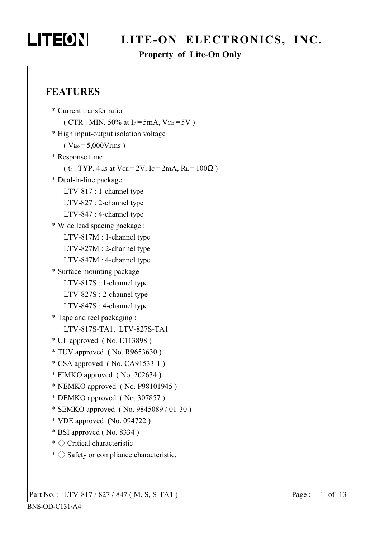# LITEON

# LITE-ON ELECTRONICS, INC.

### **Property of Lite-On Only**

### **FEATURES**

```
* Current transfer ratio
   (CTR : MIN. 50% at IF = 5mA, VCE = 5V)
* High input-output isolation voltage
   (V_{iso} = 5,000Vrms)
* Response time
   (\text{tr}: TYP. 4\mus at VcE = 2V, Ic = 2mA, RL = 100\Omega)
* Dual-in-line package :
   LTV-817 : 1-channel type
   LTV-827 : 2-channel type
   LTV-847 : 4-channel type
* Wide lead spacing package :
   LTV-817M : 1-channel type
   LTV-827M : 2-channel type
   LTV-847M : 4-channel type
* Surface mounting package :
   LTV-817S : 1-channel type
   LTV-827S : 2-channel type
   LTV-847S: 4-channel type
* Tape and reel packaging :
   LTV-817S-TA1, LTV-827S-TA1
* UL approved (No. E113898)
* TUV approved (No. R9653630)
* CSA approved (No. CA91533-1)
* FIMKO approved (No. 202634)
* NEMKO approved (No. P98101945)
* DEMKO approved (No. 307857)
* SEMKO approved (No. 9845089/01-30)
* VDE approved (No. 094722)
* BSI approved (No. 8334)
* \Diamond Critical characteristic
* \bigcirc Safety or compliance characteristic.
```
Part No.: LTV-817/827/847 (M, S, S-TA1)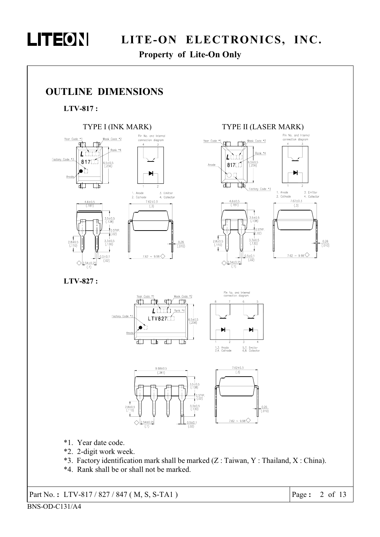

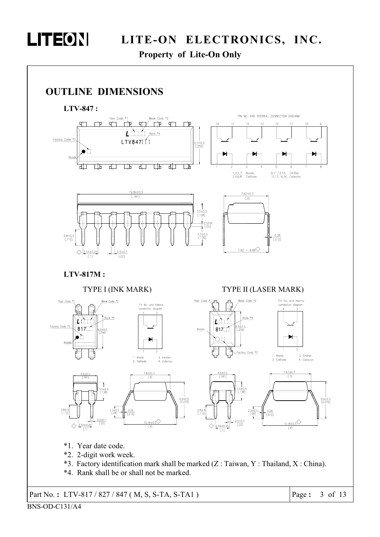

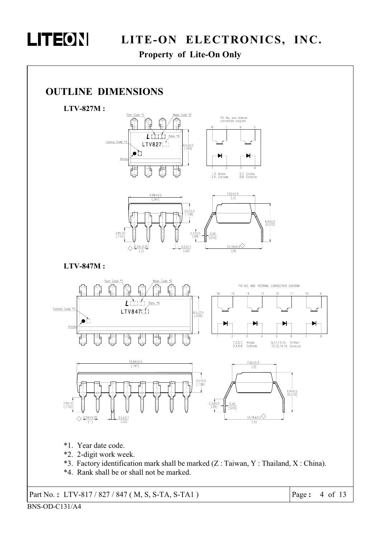

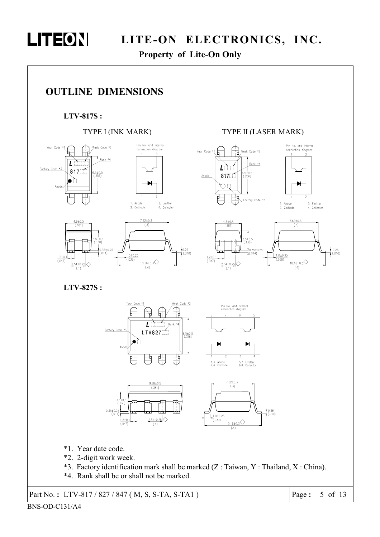

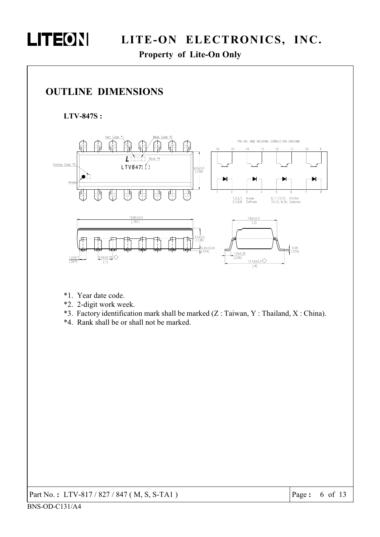



- \*1. Year date code.
- \*2. 2-digit work week.
- \*3. Factory identification mark shall be marked (Z: Taiwan, Y: Thailand, X: China).
- \*4. Rank shall be or shall not be marked.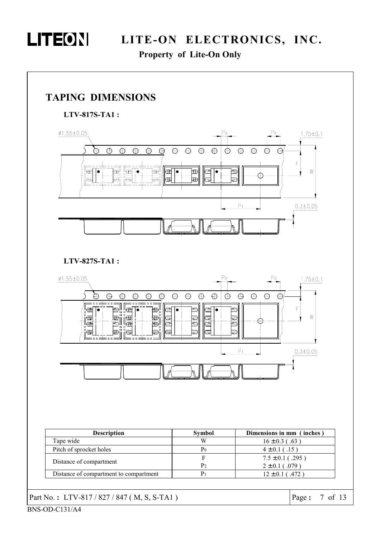

Property of Lite-On Only

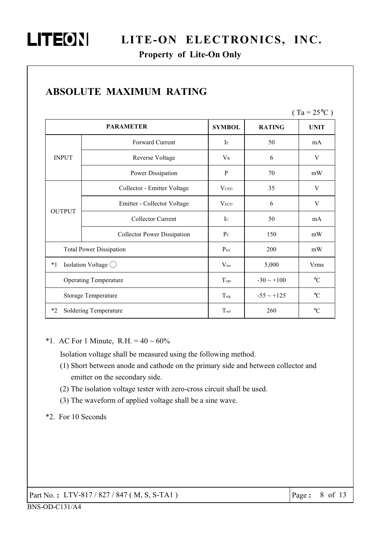Property of Lite-On Only

|               |                                    |                  |                 | $\mathbf{u}$<br>$\overline{2}$ $\overline{2}$ $\overline{2}$ |
|---------------|------------------------------------|------------------|-----------------|--------------------------------------------------------------|
|               | <b>PARAMETER</b>                   | <b>SYMBOL</b>    | <b>RATING</b>   | <b>UNIT</b>                                                  |
|               | Forward Current                    | $I_F$            | 50              | mA                                                           |
| <b>INPUT</b>  | <b>Reverse Voltage</b>             | $V_{R}$          | 6               | V                                                            |
|               | Power Dissipation                  | P                | 70              | mW                                                           |
|               | Collector - Emitter Voltage        | V <sub>ceo</sub> | 35              | V                                                            |
|               | Emitter - Collector Voltage        | V <sub>ECO</sub> | 6               | V                                                            |
| <b>OUTPUT</b> | Collector Current                  | $I_{\rm C}$      | 50              | mA                                                           |
|               | <b>Collector Power Dissipation</b> | $P_{\rm C}$      | 150             | mW                                                           |
|               | <b>Total Power Dissipation</b>     | $P_{\text{tot}}$ | 200             | mW                                                           |
| $*1$          | Isolation Voltage $\bigcirc$       | $V_{iso}$        | 5,000           | <b>Vrms</b>                                                  |
|               | <b>Operating Temperature</b>       | Topr             | $-30 \sim +100$ | $^{\circ}{\rm C}$                                            |
|               | <b>Storage Temperature</b>         | $T_{\text{stg}}$ | $-55 \sim +125$ | $\rm ^{\circ}C$                                              |
| $*_{2}$       | Soldering Temperature              | $T_{sol}$        | 260             | $\rm ^{\circ}C$                                              |

# **ABSOLUTE MAXIMUM RATING**

\*1. AC For 1 Minute, R.H. =  $40 \sim 60\%$ 

Isolation voltage shall be measured using the following method.

- (1) Short between anode and cathode on the primary side and between collector and emitter on the secondary side.
- (2) The isolation voltage tester with zero-cross circuit shall be used.
- (3) The waveform of applied voltage shall be a sine wave.
- \*2. For 10 Seconds

 $(T_2 - 250C)$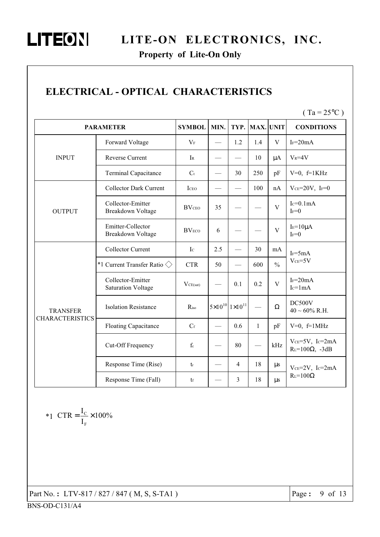# LITEON LITE-ON ELECTRONICS, INC.

### Property of Lite-On Only

# ELECTRICAL - OPTICAL CHARACTERISTICS

 $(Ta = 25^{\circ}C)$ 

|                                           | <b>PARAMETER</b>                               | <b>SYMBOL</b>         | MIN. | TYP.                                | <b>MAX. UNIT</b> |               | <b>CONDITIONS</b>                               |
|-------------------------------------------|------------------------------------------------|-----------------------|------|-------------------------------------|------------------|---------------|-------------------------------------------------|
|                                           | Forward Voltage                                | $V_F$                 |      | 1.2                                 | 1.4              | $\mathbf V$   | $I_F = 20mA$                                    |
| <b>INPUT</b>                              | Reverse Current                                | IR                    |      |                                     | 10               | $\mu A$       | $V_R = 4V$                                      |
|                                           | <b>Terminal Capacitance</b>                    | $\mathbf{C}^\text{t}$ |      | 30                                  | 250              | pF            | $V=0$ , $f=1KHz$                                |
|                                           | <b>Collector Dark Current</b>                  | ICEO                  |      |                                     | 100              | nA            | $Vce=20V$ , IF=0                                |
| <b>OUTPUT</b>                             | Collector-Emitter<br>Breakdown Voltage         | <b>BV</b> CEO         | 35   |                                     |                  | $\mathbf{V}$  | $Ic=0.1mA$<br>$I_F=0$                           |
|                                           | Emitter-Collector<br>Breakdown Voltage         | <b>BVECO</b>          | 6    |                                     |                  | $\mathbf{V}$  | $IE=10\mu A$<br>$I_F=0$                         |
|                                           | <b>Collector Current</b>                       | $I_{\rm C}$           | 2.5  |                                     | 30               | mA            | $I_F = 5mA$                                     |
|                                           | *1 Current Transfer Ratio $\Diamond$           | <b>CTR</b>            | 50   |                                     | 600              | $\frac{0}{0}$ | $VCE=5V$                                        |
|                                           | Collector-Emitter<br><b>Saturation Voltage</b> | VCE(sat)              |      | 0.1                                 | 0.2              | V             | $I_F = 20mA$<br>$Ic=1mA$                        |
| <b>TRANSFER</b><br><b>CHARACTERISTICS</b> | <b>Isolation Resistance</b>                    | Riso                  |      | $5\times10^{10}$ 1×10 <sup>11</sup> |                  | Ω             | DC500V<br>$40 \sim 60\%$ R.H.                   |
|                                           | <b>Floating Capacitance</b>                    | $C_f$                 |      | 0.6                                 | $\mathbf{1}$     | pF            | $V=0$ , $f=1$ MHz                               |
|                                           | Cut-Off Frequency                              | ${\rm f_c}$           |      | 80                                  |                  | kHz           | $Vce=5V$ , $Ic=2mA$<br>$R_{L}=100\Omega$ , -3dB |
|                                           | Response Time (Rise)                           | $t_{r}$               |      | $\overline{4}$                      | 18               | $\mu s$       | $Vce=2V$ , $Ic=2mA$                             |
|                                           | Response Time (Fall)                           | tf                    |      | 3                                   | 18               | $\mu s$       | $R_L = 100\Omega$                               |

$$
*1 \quad CTR = \frac{I_C}{I_F} \times 100\%
$$

Part No.: LTV-817 / 827 / 847 (M, S, S-TA1)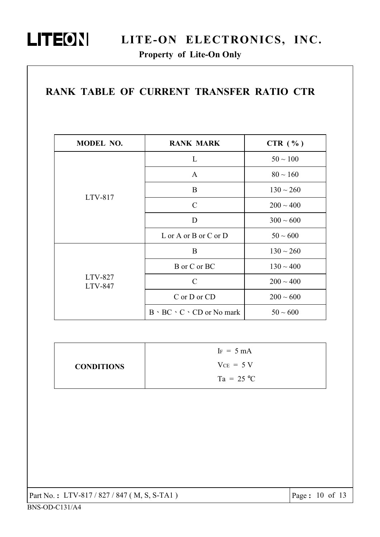

# LITEON LITE-ON ELECTRONICS, INC.

| MODEL NO.          | <b>RANK MARK</b>                         | CTR $(\% )$    |
|--------------------|------------------------------------------|----------------|
|                    | L                                        | $50 \sim 100$  |
|                    | A                                        | $80 \sim 160$  |
|                    | B                                        | $130 \sim 260$ |
| LTV-817            | $\mathcal{C}$                            | $200 \sim 400$ |
|                    | D                                        | $300 \sim 600$ |
|                    | L or A or B or C or D                    | $50 \sim 600$  |
|                    | B                                        | $130 \sim 260$ |
|                    | B or C or BC                             | $130 \sim 400$ |
| LTV-827<br>LTV-847 | $\mathcal{C}$                            | $200 \sim 400$ |
|                    | C or D or CD                             | $200 \sim 600$ |
|                    | $B \cdot BC \cdot C \cdot CD$ or No mark | $50\sim600$    |

|                   | $I_F = 5 mA$   |
|-------------------|----------------|
| <b>CONDITIONS</b> | $V_{CE}$ = 5 V |
|                   | $Ta = 25 °C$   |

| Part No.: LTV-817/827/847 (M, S, S-TA1) |
|-----------------------------------------|
|-----------------------------------------|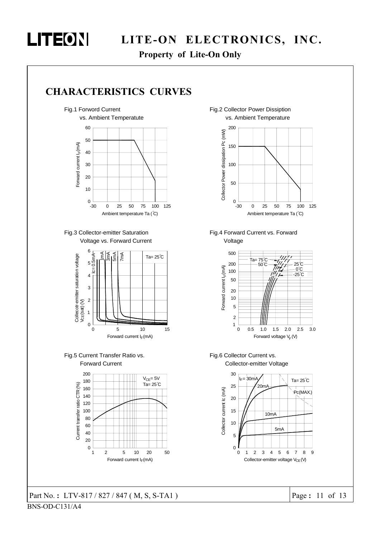

Property of Lite-On Only







Fig.3 Collector-emitter Saturation Voltage vs. Forward Current







Fig.1 Forword Current **Fig.2 Collector Power Dissiption** vs. Ambient Temperature



Fig.4 Forward Current vs. Forward Voltage



Fig.6 Collector Current vs. Collector-emitter Voltage



Part No.: LTV-817 / 827 / 847 (M, S, S-TA1  $\overline{\phantom{a}}$ 

Page:  $11$  of  $13$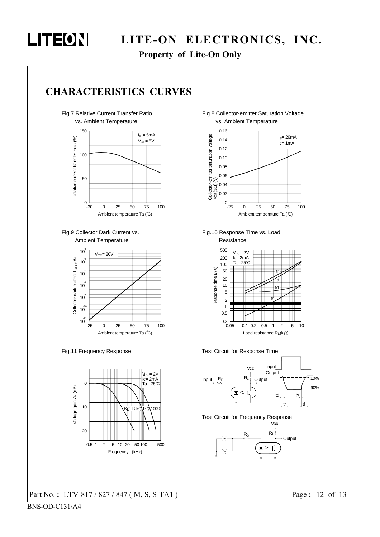

Property of Lite-On Only

### CHARACTERISTICS CURVES

Fig.7 Relative Current Transfer Ratio vs. Ambient Temperature







Fig.11 Frequency Response



#### Part No.: LTV-817 / 827 / 847 (M, S, S-TA1)  $\Box$ )





Fig.10 Response Time vs. Load Resistance







Test Circuit for Frequency Response **Vcc** 



Page:  $12$  of  $13$